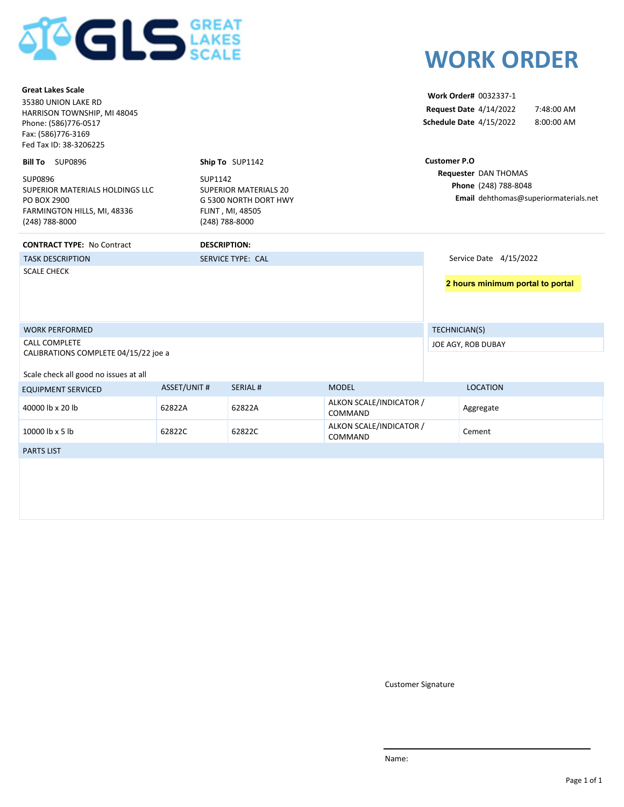

| <b>Great Lakes Scale</b><br>35380 UNION LAKE RD<br>HARRISON TOWNSHIP, MI 48045<br>Phone: (586)776-0517<br>Fax: (586)776-3169<br>Fed Tax ID: 38-3206225 |                           |                                                                           |                                    |                     | Work Order# 0032337-1<br><b>Request Date 4/14/2022</b><br>Schedule Date 4/15/2022 | 7:48:00 AM<br>8:00:00 AM              |
|--------------------------------------------------------------------------------------------------------------------------------------------------------|---------------------------|---------------------------------------------------------------------------|------------------------------------|---------------------|-----------------------------------------------------------------------------------|---------------------------------------|
| <b>Bill To</b> SUP0896                                                                                                                                 |                           | Ship To SUP1142                                                           |                                    | <b>Customer P.O</b> |                                                                                   |                                       |
| SUP0896<br>SUPERIOR MATERIALS HOLDINGS LLC<br>PO BOX 2900<br>FARMINGTON HILLS, MI, 48336<br>(248) 788-8000                                             | SUP1142<br>(248) 788-8000 | <b>SUPERIOR MATERIALS 20</b><br>G 5300 NORTH DORT HWY<br>FLINT, MI, 48505 |                                    |                     | Requester DAN THOMAS<br>Phone (248) 788-8048                                      | Email dehthomas@superiormaterials.net |
| <b>CONTRACT TYPE: No Contract</b>                                                                                                                      | <b>DESCRIPTION:</b>       |                                                                           |                                    |                     |                                                                                   |                                       |
| <b>TASK DESCRIPTION</b>                                                                                                                                |                           | <b>SERVICE TYPE: CAL</b>                                                  |                                    |                     | Service Date 4/15/2022                                                            |                                       |
| <b>SCALE CHECK</b>                                                                                                                                     |                           |                                                                           |                                    |                     | 2 hours minimum portal to portal                                                  |                                       |
| <b>WORK PERFORMED</b>                                                                                                                                  |                           |                                                                           |                                    | TECHNICIAN(S)       |                                                                                   |                                       |
| <b>CALL COMPLETE</b><br>CALIBRATIONS COMPLETE 04/15/22 joe a                                                                                           |                           |                                                                           |                                    |                     | JOE AGY, ROB DUBAY                                                                |                                       |
| Scale check all good no issues at all                                                                                                                  |                           |                                                                           |                                    |                     |                                                                                   |                                       |
| <b>EQUIPMENT SERVICED</b>                                                                                                                              | <b>ASSET/UNIT #</b>       | <b>SERIAL#</b>                                                            | <b>MODEL</b>                       |                     | <b>LOCATION</b>                                                                   |                                       |
| 40000 lb x 20 lb                                                                                                                                       | 62822A                    | 62822A                                                                    | ALKON SCALE/INDICATOR /<br>COMMAND |                     | Aggregate                                                                         |                                       |
| 10000 lb x 5 lb                                                                                                                                        | 62822C                    | 62822C                                                                    | ALKON SCALE/INDICATOR /<br>COMMAND |                     | Cement                                                                            |                                       |
| <b>PARTS LIST</b>                                                                                                                                      |                           |                                                                           |                                    |                     |                                                                                   |                                       |
|                                                                                                                                                        |                           |                                                                           |                                    |                     |                                                                                   |                                       |

Customer Signature

**WORK ORDER**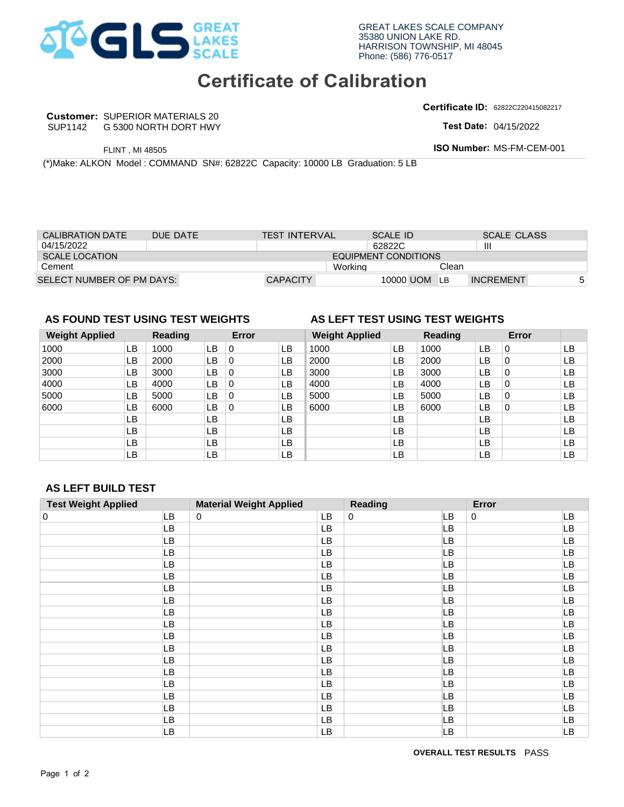

### **Certificate of Calibration**

**Certificate ID:** 62822C220415082217

**Customer: SUPERIOR MATERIALS 20** SUP1142

**Test Date:** 

| <b>CALIBRATION DATE</b>          |                             | DUE DATE |    |       | <b>TEST INTERVAL</b> |                                 | <b>SCALE ID</b> |                |                  | <b>SCALE CLASS</b> |    |
|----------------------------------|-----------------------------|----------|----|-------|----------------------|---------------------------------|-----------------|----------------|------------------|--------------------|----|
| 04/15/2022                       |                             |          |    |       |                      |                                 | 62822C          |                | Ш                |                    |    |
| <b>SCALE LOCATION</b>            | <b>EQUIPMENT CONDITIONS</b> |          |    |       |                      |                                 |                 |                |                  |                    |    |
| Cement                           |                             |          |    |       |                      | Working                         |                 | Clean          |                  |                    |    |
| SELECT NUMBER OF PM DAYS:        |                             |          |    |       | <b>CAPACITY</b>      |                                 | 10000 UOM       | LB             | <b>INCREMENT</b> |                    | 5  |
|                                  |                             |          |    |       |                      |                                 |                 |                |                  |                    |    |
|                                  |                             |          |    |       |                      |                                 |                 |                |                  |                    |    |
|                                  |                             |          |    |       |                      |                                 |                 |                |                  |                    |    |
| AS FOUND TEST USING TEST WEIGHTS |                             |          |    |       |                      | AS LEFT TEST USING TEST WEIGHTS |                 |                |                  |                    |    |
| <b>Weight Applied</b>            |                             | Reading  |    | Error |                      | <b>Weight Applied</b>           |                 | <b>Reading</b> |                  | Error              |    |
| 1000                             | LВ                          | 1000     | LB | 0     | LВ                   | 1000                            | LB              | 1000           | LВ               | $\Omega$           | LB |

### **AS FOUND TEST USING TEST WEIGHTS AS LEFT TEST USING TEST WEIGHTS**

#### **Weight Applied Reading Error Weight Applied Reading Error**  1000 LB LB **LB** LB LB LB LB LB LB 0 1000 3000 0 1000 0 0 3000 SUPERIOR MATERIALS 20<br>
FLINT, MI 48505<br>
NO NORTH DORT HWY<br>
TEST USING TEST USING TEST USING TEST WEIGHTS<br>
TEST USING TEST WEIGHTS<br>
ER OF PM DAYS:<br>
TEST USING TEST WEIGHTS<br>
ER OF PM DAYS:<br>
TEST USING TEST WEIGHTS<br>
ER OF PM 5000 1000 1.1 1000 1.1 1000<br>
2000 1.1 2000 1.1 0<br>
3000 1.1 3000 1.1 0<br>
4000 1.1 4000 1.1 0<br>
5000 1.1 5000 1.1 0<br>
6000 1.1 6000 1.1 0 5000 LB 5000 LB 0<br>12 G000 LB 6000 LB 0 0 0 5000 0 UOM LB INCREMENT<br> **2000** UB O LB<br>
2000 LB O LB<br>
2000 LB O LB F PM DAYS:<br> **F USING TEST WEIGHTS**<br> **Exading Error Weight Applied Reading Error**<br>
LB 1000 LB 0 LB 1000 LB LB 2000 LB 0 LB<br>
LB 2000 LB 0 LB 2000 LB 2000 LB 0 LB<br>
LB 3000 LB 0 LB 3000 LB 2000 LB 0 LB<br>
LB 5000 LB 0 LB 5000 LB LB LB LB LB LB LB LB LB LB LB LB LB LB LB LB LB LB LB LB LB LB LB LB LB 0 LB 3000 LB 3000<br>0 LB 4000 LB 4000<br>0 LB 5000 LB 5000<br>0 LB 6000 LB 6000

### **AS LEFT BUILD TEST**

|                                                                        |                 | G 5300 NORTH DORT HWY |           |                  |                                                                                |           |                                        |                 |                                 |                 | Test Date: 04/15/2022     |                                                    |
|------------------------------------------------------------------------|-----------------|-----------------------|-----------|------------------|--------------------------------------------------------------------------------|-----------|----------------------------------------|-----------------|---------------------------------|-----------------|---------------------------|----------------------------------------------------|
|                                                                        | FLINT, MI 48505 |                       |           |                  |                                                                                |           |                                        |                 |                                 |                 | ISO Number: MS-FM-CEM-001 |                                                    |
|                                                                        |                 |                       |           |                  | (*)Make: ALKON Model : COMMAND SN#: 62822C Capacity: 10000 LB Graduation: 5 LB |           |                                        |                 |                                 |                 |                           |                                                    |
|                                                                        |                 |                       |           |                  |                                                                                |           |                                        |                 |                                 |                 |                           |                                                    |
|                                                                        |                 |                       |           |                  |                                                                                |           |                                        |                 |                                 |                 |                           |                                                    |
| <b>CALIBRATION DATE</b>                                                |                 | DUE DATE              |           |                  | <b>TEST INTERVAL</b>                                                           |           |                                        | <b>SCALE ID</b> |                                 |                 | <b>SCALE CLASS</b>        |                                                    |
| 04/15/2022                                                             |                 |                       |           |                  |                                                                                |           |                                        | 62822C          |                                 | $\mathbf{III}$  |                           |                                                    |
| <b>SCALE LOCATION</b><br>Cement                                        |                 |                       |           |                  |                                                                                |           | <b>EQUIPMENT CONDITIONS</b><br>Working |                 | Clean                           |                 |                           |                                                    |
| SELECT NUMBER OF PM DAYS:                                              |                 |                       |           |                  | <b>CAPACITY</b>                                                                |           |                                        |                 | 10000 UOM<br>LB                 |                 | <b>INCREMENT</b>          |                                                    |
|                                                                        |                 |                       |           |                  |                                                                                |           |                                        |                 |                                 |                 |                           |                                                    |
| AS FOUND TEST USING TEST WEIGHTS                                       |                 |                       |           |                  |                                                                                |           |                                        |                 | AS LEFT TEST USING TEST WEIGHTS |                 |                           |                                                    |
| <b>Weight Applied</b>                                                  |                 | <b>Reading</b>        |           | Error            |                                                                                |           | <b>Weight Applied</b>                  |                 | <b>Reading</b>                  |                 | Error                     |                                                    |
| 1000                                                                   | <b>LB</b>       | 1000                  | <b>LB</b> | $\pmb{0}$        | LB                                                                             | 1000      |                                        | LB              | 1000                            | <b>LB</b>       | 0                         | LB                                                 |
| 2000                                                                   | LB              | 2000                  | LB        | $\boldsymbol{0}$ | LB                                                                             | 2000      |                                        | LB              | 2000                            | <b>LB</b>       | 0                         | LB                                                 |
| 3000                                                                   | LB              | 3000                  | LB        | $\boldsymbol{0}$ | LB                                                                             | 3000      |                                        | LB              | 3000                            | LB              | 0                         | LB                                                 |
| 4000                                                                   | LB              | 4000                  | LB        | $\boldsymbol{0}$ | LB                                                                             | 4000      |                                        | LB              | 4000                            | LB              | 0                         | LB                                                 |
| 5000                                                                   | LB              | 5000                  | LB        | $\boldsymbol{0}$ | LB                                                                             | 5000      |                                        | LB              | 5000                            | LB              | 0                         | LB                                                 |
| 6000                                                                   | LB<br>LB        | 6000                  | LB<br>LB  | 0                | LB<br>LB                                                                       | 6000      |                                        | LB<br>LB        | 6000                            | LB<br>LB        | 0                         | LB<br>LB                                           |
|                                                                        |                 |                       |           |                  |                                                                                |           |                                        |                 |                                 |                 |                           | LB                                                 |
|                                                                        |                 |                       |           |                  |                                                                                |           |                                        |                 |                                 |                 |                           |                                                    |
|                                                                        | LB              |                       | LB        |                  | LB                                                                             |           |                                        | LB              |                                 | LB              |                           |                                                    |
|                                                                        | LB<br>LB        |                       | LB<br>LB  |                  | LB<br><b>LB</b>                                                                |           |                                        | LB<br>LB        |                                 | LB<br><b>LB</b> |                           | LB<br>LB                                           |
|                                                                        |                 |                       |           |                  |                                                                                |           |                                        |                 |                                 |                 |                           |                                                    |
|                                                                        |                 |                       |           |                  |                                                                                |           |                                        |                 |                                 |                 |                           |                                                    |
|                                                                        |                 |                       |           |                  |                                                                                |           |                                        |                 |                                 |                 |                           |                                                    |
|                                                                        |                 |                       | 0         |                  | <b>Material Weight Applied</b>                                                 |           | <b>Reading</b><br>0                    |                 |                                 | Error<br>0      |                           |                                                    |
|                                                                        |                 | LB<br>LВ              |           |                  |                                                                                | LB<br>LB  |                                        |                 | LВ<br>LВ                        |                 |                           | LB<br>LB                                           |
|                                                                        |                 | LВ                    |           |                  |                                                                                | LB        |                                        |                 | LВ                              |                 |                           | LB                                                 |
|                                                                        |                 | LB                    |           |                  |                                                                                | LB        |                                        |                 | LВ                              |                 |                           | LB                                                 |
|                                                                        |                 | LB                    |           |                  |                                                                                | LB        |                                        |                 | LВ                              |                 |                           | LB                                                 |
|                                                                        |                 | LВ                    |           |                  |                                                                                | LB        |                                        |                 | LB                              |                 |                           | LB                                                 |
|                                                                        |                 | LB                    |           |                  |                                                                                | <b>LB</b> |                                        |                 | LB                              |                 |                           | LB                                                 |
|                                                                        |                 | LB                    |           |                  |                                                                                | LB        |                                        |                 | LB.                             |                 |                           |                                                    |
|                                                                        |                 | LB                    |           |                  |                                                                                | LB        |                                        |                 | LB                              |                 |                           |                                                    |
|                                                                        |                 | LB                    |           |                  |                                                                                | LB        |                                        |                 | LB                              |                 |                           |                                                    |
|                                                                        |                 | LB                    |           |                  |                                                                                | LB        |                                        |                 | LB                              |                 |                           |                                                    |
|                                                                        |                 | LB                    |           |                  |                                                                                | LB        |                                        |                 | LB                              |                 |                           |                                                    |
|                                                                        |                 | LB                    |           |                  |                                                                                | LB        |                                        |                 | LB                              |                 |                           |                                                    |
|                                                                        |                 | LB                    |           |                  |                                                                                | LB        |                                        |                 | LB                              |                 |                           |                                                    |
|                                                                        |                 | LB                    |           |                  |                                                                                | LB        |                                        |                 | LB                              |                 |                           |                                                    |
|                                                                        |                 | LB                    |           |                  |                                                                                | LB        |                                        |                 | LB                              |                 |                           | LB<br>LB<br>LB<br>LB<br>LB<br>LB<br>LB<br>LB<br>LB |
| <b>AS LEFT BUILD TEST</b><br><b>Test Weight Applied</b><br>$\mathbf 0$ |                 | LB<br>LB              |           |                  |                                                                                | LB<br>LB  |                                        |                 | LB.<br>LB                       |                 |                           | LB<br>LB                                           |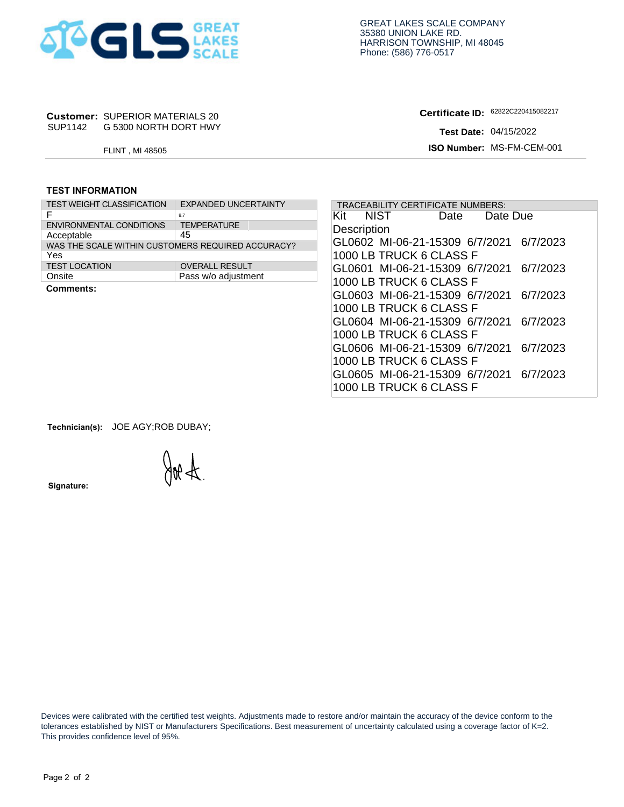

# **Customer: SUPERIOR MATERIALS 20<br>SUP1142 G 5300 NORTH DORT HWY**

**Certificate ID:**

#### **TEST INFORMATION**

| SUP1142                 | <b>Customer: SUPERIOR MATERIALS 20</b><br>G 5300 NORTH DORT HWY |                             |  |  |  |  |  |  |
|-------------------------|-----------------------------------------------------------------|-----------------------------|--|--|--|--|--|--|
|                         | <b>FLINT, MI 48505</b>                                          |                             |  |  |  |  |  |  |
|                         |                                                                 |                             |  |  |  |  |  |  |
| <b>TEST INFORMATION</b> |                                                                 |                             |  |  |  |  |  |  |
|                         | <b>TEST WEIGHT CLASSIFICATION</b>                               | <b>EXPANDED UNCERTAINTY</b> |  |  |  |  |  |  |
| F                       |                                                                 | 8.7                         |  |  |  |  |  |  |
|                         | <b>ENVIRONMENTAL CONDITIONS</b>                                 | <b>TEMPERATURE</b>          |  |  |  |  |  |  |
| Acceptable              |                                                                 | 45                          |  |  |  |  |  |  |
|                         | WAS THE SCALE WITHIN CUSTOMERS REQUIRED ACCURACY?               |                             |  |  |  |  |  |  |
| Yes                     |                                                                 |                             |  |  |  |  |  |  |
| <b>TEST LOCATION</b>    |                                                                 | <b>OVERALL RESULT</b>       |  |  |  |  |  |  |
| Onsite                  |                                                                 | Pass w/o adjustment         |  |  |  |  |  |  |
| Comments:               |                                                                 |                             |  |  |  |  |  |  |

| <b>Customer: SUPERIOR MATERIALS 20</b> |                                                   | Certificate ID: 62822C220415082217         |
|----------------------------------------|---------------------------------------------------|--------------------------------------------|
| SUP1142 G 5300 NORTH DORT HWY          |                                                   | <b>Test Date: 04/15/2022</b>               |
| FLINT, MI 48505                        |                                                   | ISO Number: MS-FM-CEM-001                  |
|                                        |                                                   |                                            |
| <b>TEST INFORMATION</b>                |                                                   |                                            |
| <b>TEST WEIGHT CLASSIFICATION</b>      | <b>EXPANDED UNCERTAINTY</b>                       | TRACEABILITY CERTIFICATE NUMBERS:          |
| F                                      | 8.7                                               | <b>NIST</b><br>Kit<br>Date Due<br>Date     |
| <b>ENVIRONMENTAL CONDITIONS</b>        | <b>TEMPERATURE</b><br>45                          | Description                                |
| Acceptable                             | WAS THE SCALE WITHIN CUSTOMERS REQUIRED ACCURACY? | GL0602 MI-06-21-15309 6/7/2021<br>6/7/2023 |
| Yes                                    |                                                   | 1000 LB TRUCK 6 CLASS F                    |
| <b>TEST LOCATION</b>                   | <b>OVERALL RESULT</b>                             | GL0601 MI-06-21-15309 6/7/2021<br>6/7/2023 |
| Onsite                                 | Pass w/o adjustment                               | 1000 LB TRUCK 6 CLASS F                    |
| <b>Comments:</b>                       |                                                   | GL0603 MI-06-21-15309 6/7/2021<br>6/7/2023 |
|                                        |                                                   |                                            |
|                                        |                                                   | 1000 LB TRUCK 6 CLASS F                    |
|                                        |                                                   | GL0604 MI-06-21-15309 6/7/2021<br>6/7/2023 |
|                                        |                                                   | 1000 LB TRUCK 6 CLASS F                    |
|                                        |                                                   | GL0606 MI-06-21-15309 6/7/2021<br>6/7/2023 |
|                                        |                                                   | 1000 LB TRUCK 6 CLASS F                    |
|                                        |                                                   | GL0605 MI-06-21-15309 6/7/2021 6/7/2023    |
|                                        |                                                   | 1000 LB TRUCK 6 CLASS F                    |

**Technician(s):** JOE AGY;ROB DUBAY;

N A

**Signature:** 

 Devices were calibrated with the certified test weights. Adjustments made to restore and/or maintain the accuracy of the device conform to the tolerances established by NIST or Manufacturers Specifications. Best measurement of uncertainty calculated using a coverage factor of K=2. This provides confidence level of 95%.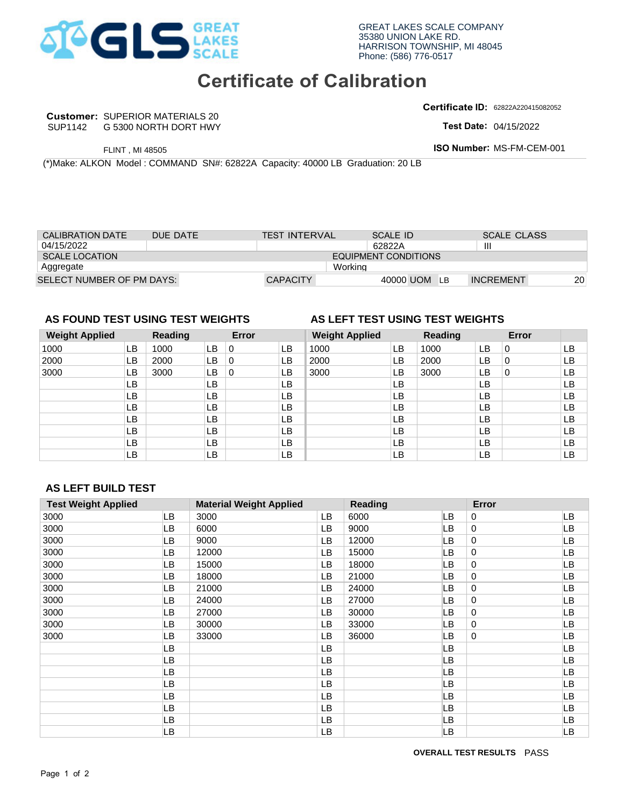

### **Certificate of Calibration**

**Certificate ID:**

|                                                                                 |                                                                 |     |       |                      |                                 |                             |                | <b>Certificate ID: 62822A220415082052</b> |    |
|---------------------------------------------------------------------------------|-----------------------------------------------------------------|-----|-------|----------------------|---------------------------------|-----------------------------|----------------|-------------------------------------------|----|
| SUP1142                                                                         | <b>Customer: SUPERIOR MATERIALS 20</b><br>G 5300 NORTH DORT HWY |     |       |                      |                                 |                             |                | <b>Test Date: 04/15/2022</b>              |    |
|                                                                                 |                                                                 |     |       |                      |                                 |                             |                |                                           |    |
|                                                                                 | <b>FLINT, MI 48505</b>                                          |     |       |                      |                                 |                             |                | <b>ISO Number: MS-FM-CEM-001</b>          |    |
| (*) Make: ALKON Model: COMMAND SN#: 62822A Capacity: 40000 LB Graduation: 20 LB |                                                                 |     |       |                      |                                 |                             |                |                                           |    |
|                                                                                 |                                                                 |     |       |                      |                                 |                             |                |                                           |    |
|                                                                                 |                                                                 |     |       |                      |                                 |                             |                |                                           |    |
|                                                                                 |                                                                 |     |       |                      |                                 |                             |                |                                           |    |
|                                                                                 |                                                                 |     |       |                      |                                 |                             |                |                                           |    |
|                                                                                 |                                                                 |     |       |                      |                                 |                             |                |                                           |    |
| CALIBRATION DATE                                                                | DUE DATE                                                        |     |       | <b>TEST INTERVAL</b> |                                 | <b>SCALE ID</b>             |                | <b>SCALE CLASS</b>                        |    |
| 04/15/2022                                                                      |                                                                 |     |       |                      |                                 | 62822A                      |                | Ш                                         |    |
| <b>SCALE LOCATION</b>                                                           |                                                                 |     |       |                      |                                 | <b>EQUIPMENT CONDITIONS</b> |                |                                           |    |
| Aggregate                                                                       |                                                                 |     |       |                      | Working                         |                             |                |                                           |    |
| SELECT NUMBER OF PM DAYS:                                                       |                                                                 |     |       | <b>CAPACITY</b>      |                                 | 40000 UOM LB                |                | <b>INCREMENT</b>                          | 20 |
|                                                                                 |                                                                 |     |       |                      |                                 |                             |                |                                           |    |
|                                                                                 |                                                                 |     |       |                      |                                 |                             |                |                                           |    |
| AS FOUND TEST USING TEST WEIGHTS                                                |                                                                 |     |       |                      | AS LEFT TEST USING TEST WEIGHTS |                             |                |                                           |    |
| <b>Weight Applied</b>                                                           | Reading                                                         |     | Error |                      | <b>Weight Applied</b>           |                             | <b>Reading</b> | Error                                     |    |
| 1000                                                                            | 1000<br>LB.                                                     | LB. | 0     | LB                   | 1000                            | LВ                          | 1000           | 0<br>LВ                                   | LB |

### **AS FOUND TEST USING TEST WEIGHTS**

### **Weight Applied Reading Error Weight Applied Reading Error**  LB LB **LB** LB LB LB LB LB LB FUNT, MI4850<br>
CNLERATION DAGE: COMMAND SNP: 62822A Capacity: 40000 LB Graduation: 20 LB<br>
CNLERATION DATE: DUE DATE<br>
SCALE ID<br>
SCALE ID<br>
SCALE ID<br>
SCALE ID<br>
SCALE ID<br>
SCALE ID<br>
SCALE ID<br>
SCALE ID<br>
SCALE ID<br>
MORT COMMAND T 1000 3000 LB 0 LB 3000<br>
LB LB LB<br>
LB LB LB<br>
LB LB LB<br>
LB LB LB<br>
LB LB LB<br>
LB LB LB<br>
LB LB LB<br>
CD LB 6000<br>
LB 6000 LB 6000 2000 0 1000 LB 0<br>
2000 LB 0<br>
3000 LB 0<br>
LB LB<br>
LB LB<br>
LB LB<br>
LB LB<br>
LB LB<br>
LB DB 9000<br>
LB 6000<br>
LB 9000<br>
LB 9000<br>
LB 9000<br>
LB 9000 3000 1800 181000 181000 181000 181000 181000 181000 181000 181000 181000 181000 181000 181000 181000 181000 181000 181000 181000 181000 181000 181000 181000 181000 181000 181000 181000 181000 181000 181000 181000 181000 181000 1000 0 ELECT NUMBER OF PM DAYS:<br> **AS FOUND TEST USING TEST WEIGHTS**<br> **AS FOUND TEST USING TEST WEIGHTS**<br> **AS LEFT TES**<br> **Weight Applied**<br> **B** 1000 **LB** 1000 **LB** 1000<br> **LB** 1000 **LB** 1000<br> **LB** 1000<br> **LB** 1000<br> **LB** 100<br> **LB** 100 <sup>3000</sup> <sup>9000</sup> <sup>33000</sup> III <sup>30000</sup> <sup>0</sup> CAPACITY 40000 UOM LB INCREMENT<br>
Error Weight Applied Reading Error<br>
LB 0 LB 1000 LB 1000 LB 0<br>
LB 0 LB 2000 LB 2000 LB 0<br>
LB 0 LB 2000 LB 2000 LB 0<br>
LB 0 LB 3000 LB 3000 LB 0<br>
LB LB LB LB LB LB<br>
LB LB LB LB LB LB<br>
LB LB L **AS LEFT TEST USING TEST WEIGHTS<br>
Weight Applied Reading<br>
1000 LB 1000 LB 2000 LB 12000** ELECT NUMBER OF PM DAYS:<br>
3000 2000 27000 28 3000 28 3000 28 3000 28 3000 28 3000 28 3000 28 3000 28 3000 28 3000 28 3000 28 3000 28 3000 28 3000 28 3000 28 3000 28 3000 28 3000 28 3000 28 3000 28 3000 28 3000 28 3000 28 3 <sup>3000</sup> LB LB LB LB LB LB LB LB LB LB LB LB LB LB LB LB LB LB LB LB LB LB LB LB LB LB LB LB LB LB LB LB LB LB LB LB LB LB LB LB LB LB LB LB LB LB LB LB LB LB LB LB LB LB LB LB LB LB LB LB LB LB LB LB LB LB LB LB LB LB LB LB LB LB LB LB LB LB LB LB LB 3000 LB 3000 LB 0 LB 3000 0

### **AS LEFT BUILD TEST**

|                            | G 5300 NORTH DORT HWY                                     |                                                                      |                                                            |                                                    |                                           |                                                                 |                                  |                                            |                                                                                                                                                                            | <b>Test Date: 04/15/2022</b>      |                                                                                                                  |
|----------------------------|-----------------------------------------------------------|----------------------------------------------------------------------|------------------------------------------------------------|----------------------------------------------------|-------------------------------------------|-----------------------------------------------------------------|----------------------------------|--------------------------------------------|----------------------------------------------------------------------------------------------------------------------------------------------------------------------------|-----------------------------------|------------------------------------------------------------------------------------------------------------------|
|                            |                                                           |                                                                      |                                                            |                                                    |                                           |                                                                 |                                  |                                            |                                                                                                                                                                            |                                   |                                                                                                                  |
|                            |                                                           |                                                                      |                                                            |                                                    |                                           |                                                                 |                                  |                                            |                                                                                                                                                                            |                                   |                                                                                                                  |
|                            |                                                           |                                                                      |                                                            |                                                    |                                           |                                                                 |                                  |                                            |                                                                                                                                                                            |                                   |                                                                                                                  |
| <b>CALIBRATION DATE</b>    |                                                           |                                                                      |                                                            |                                                    |                                           |                                                                 |                                  |                                            |                                                                                                                                                                            |                                   |                                                                                                                  |
|                            |                                                           |                                                                      |                                                            |                                                    |                                           |                                                                 |                                  |                                            | Ш                                                                                                                                                                          |                                   |                                                                                                                  |
|                            |                                                           |                                                                      |                                                            |                                                    |                                           |                                                                 |                                  |                                            |                                                                                                                                                                            |                                   |                                                                                                                  |
|                            |                                                           |                                                                      |                                                            |                                                    |                                           |                                                                 |                                  |                                            |                                                                                                                                                                            |                                   | 20                                                                                                               |
|                            |                                                           |                                                                      |                                                            |                                                    |                                           |                                                                 |                                  |                                            |                                                                                                                                                                            |                                   |                                                                                                                  |
|                            |                                                           |                                                                      |                                                            |                                                    |                                           |                                                                 |                                  |                                            |                                                                                                                                                                            |                                   |                                                                                                                  |
| <b>Weight Applied</b>      | <b>Reading</b>                                            |                                                                      |                                                            |                                                    |                                           |                                                                 |                                  | Reading                                    |                                                                                                                                                                            | Error                             |                                                                                                                  |
| LB                         |                                                           | <b>LB</b>                                                            | 0                                                          | LB                                                 |                                           |                                                                 | LB                               |                                            | LB                                                                                                                                                                         | 0                                 | LB                                                                                                               |
|                            |                                                           |                                                                      |                                                            |                                                    |                                           |                                                                 |                                  |                                            |                                                                                                                                                                            |                                   | LB                                                                                                               |
|                            |                                                           |                                                                      |                                                            |                                                    |                                           |                                                                 |                                  |                                            |                                                                                                                                                                            |                                   | LB                                                                                                               |
|                            |                                                           |                                                                      |                                                            |                                                    |                                           |                                                                 |                                  |                                            |                                                                                                                                                                            |                                   | LB                                                                                                               |
|                            |                                                           |                                                                      |                                                            |                                                    |                                           |                                                                 |                                  |                                            |                                                                                                                                                                            |                                   | LB                                                                                                               |
|                            |                                                           |                                                                      |                                                            |                                                    |                                           |                                                                 |                                  |                                            |                                                                                                                                                                            |                                   | LB<br>LB                                                                                                         |
|                            |                                                           |                                                                      |                                                            |                                                    |                                           |                                                                 |                                  |                                            |                                                                                                                                                                            |                                   |                                                                                                                  |
|                            |                                                           |                                                                      |                                                            |                                                    |                                           |                                                                 |                                  |                                            |                                                                                                                                                                            |                                   |                                                                                                                  |
| LВ                         |                                                           | <b>LB</b>                                                            |                                                            | LB                                                 |                                           |                                                                 | LB                               |                                            | LB                                                                                                                                                                         |                                   | LВ                                                                                                               |
| LВ<br>LB                   |                                                           | LB<br>LB                                                             |                                                            | LB<br>LB                                           |                                           |                                                                 | LB<br>LB                         |                                            | LB<br><b>LB</b>                                                                                                                                                            |                                   | LB<br>LB                                                                                                         |
| <b>AS LEFT BUILD TEST</b>  |                                                           |                                                                      |                                                            |                                                    |                                           |                                                                 |                                  |                                            |                                                                                                                                                                            |                                   |                                                                                                                  |
| <b>Test Weight Applied</b> |                                                           |                                                                      |                                                            | <b>Material Weight Applied</b>                     |                                           | Reading                                                         |                                  |                                            | Error                                                                                                                                                                      |                                   |                                                                                                                  |
|                            | LB                                                        | 3000                                                                 |                                                            |                                                    | <b>LB</b>                                 | 6000                                                            |                                  | LB                                         | 0                                                                                                                                                                          |                                   | LB                                                                                                               |
|                            | LВ                                                        | 6000                                                                 |                                                            |                                                    | <b>LB</b>                                 | 9000                                                            |                                  | LB                                         | 0                                                                                                                                                                          |                                   | LB                                                                                                               |
|                            | LВ                                                        | 9000                                                                 |                                                            |                                                    | <b>LB</b>                                 | 12000                                                           |                                  | LB                                         | 0                                                                                                                                                                          |                                   | LB                                                                                                               |
|                            | LВ                                                        | 12000                                                                |                                                            |                                                    | LB                                        | 15000                                                           |                                  | LB                                         | 0                                                                                                                                                                          |                                   | LB                                                                                                               |
|                            | LB<br>LВ                                                  | 15000<br>18000                                                       |                                                            |                                                    | LB<br><b>LB</b>                           | 18000<br>21000                                                  |                                  | LB<br>LВ                                   | 0<br>0                                                                                                                                                                     |                                   | LB<br>LB                                                                                                         |
|                            | LВ                                                        | 21000                                                                |                                                            |                                                    | LB                                        | 24000                                                           |                                  | LВ                                         | $\pmb{0}$                                                                                                                                                                  |                                   | LB                                                                                                               |
|                            | LВ                                                        | 24000                                                                |                                                            |                                                    | LB                                        | 27000                                                           |                                  | LB                                         | $\mathbf 0$                                                                                                                                                                |                                   | LB                                                                                                               |
|                            | LB                                                        | 27000                                                                |                                                            |                                                    | LB                                        | 30000                                                           |                                  | LВ                                         | $\mathbf 0$                                                                                                                                                                |                                   | LB                                                                                                               |
|                            | LВ                                                        | 30000                                                                |                                                            |                                                    | LB                                        | 33000                                                           |                                  | LB                                         | $\mathbf 0$                                                                                                                                                                |                                   | LB                                                                                                               |
|                            | LB                                                        | 33000                                                                |                                                            |                                                    | LB                                        | 36000                                                           |                                  | LB                                         | $\mathbf 0$                                                                                                                                                                |                                   | LB                                                                                                               |
|                            | LB                                                        |                                                                      |                                                            |                                                    | LB                                        |                                                                 |                                  | LB                                         |                                                                                                                                                                            |                                   | LB                                                                                                               |
|                            | LВ                                                        |                                                                      |                                                            |                                                    | LB                                        |                                                                 |                                  | LB                                         |                                                                                                                                                                            |                                   | LB                                                                                                               |
|                            | LВ                                                        |                                                                      |                                                            |                                                    | LB                                        |                                                                 |                                  | LB                                         |                                                                                                                                                                            |                                   | LB                                                                                                               |
|                            | LB                                                        |                                                                      |                                                            |                                                    | LB                                        |                                                                 |                                  | LB                                         |                                                                                                                                                                            |                                   | LB                                                                                                               |
|                            | LB                                                        |                                                                      |                                                            |                                                    | LB                                        |                                                                 |                                  | LВ                                         |                                                                                                                                                                            |                                   | LB                                                                                                               |
|                            | LB<br>LB                                                  |                                                                      |                                                            |                                                    | LB<br>LB                                  |                                                                 |                                  | LB<br>LB                                   |                                                                                                                                                                            |                                   | LB<br><b>LB</b>                                                                                                  |
|                            | <b>SCALE LOCATION</b><br>LВ<br>LB<br>LB<br>LB<br>LВ<br>LВ | FLINT, MI 48505<br>SELECT NUMBER OF PM DAYS:<br>1000<br>2000<br>3000 | DUE DATE<br>LB<br>LB<br>LB<br>LB<br><b>LB</b><br><b>LB</b> | AS FOUND TEST USING TEST WEIGHTS<br>0<br>$\pmb{0}$ | Error<br>LB<br>LB<br>LB<br>LB<br>LB<br>LB | <b>TEST INTERVAL</b><br><b>CAPACITY</b><br>1000<br>2000<br>3000 | Working<br><b>Weight Applied</b> | 62822A<br>LB<br>LB<br>LB<br>LB<br>LB<br>LB | (*) Make: ALKON Model : COMMAND SN#: 62822A Capacity: 40000 LB Graduation: 20 LB<br><b>SCALE ID</b><br><b>EQUIPMENT CONDITIONS</b><br>40000 UOM LB<br>1000<br>2000<br>3000 | LB.<br>LB<br>LB<br>LB<br>LB<br>LB | ISO Number: MS-FM-CEM-001<br><b>SCALE CLASS</b><br><b>INCREMENT</b><br>AS LEFT TEST USING TEST WEIGHTS<br>0<br>0 |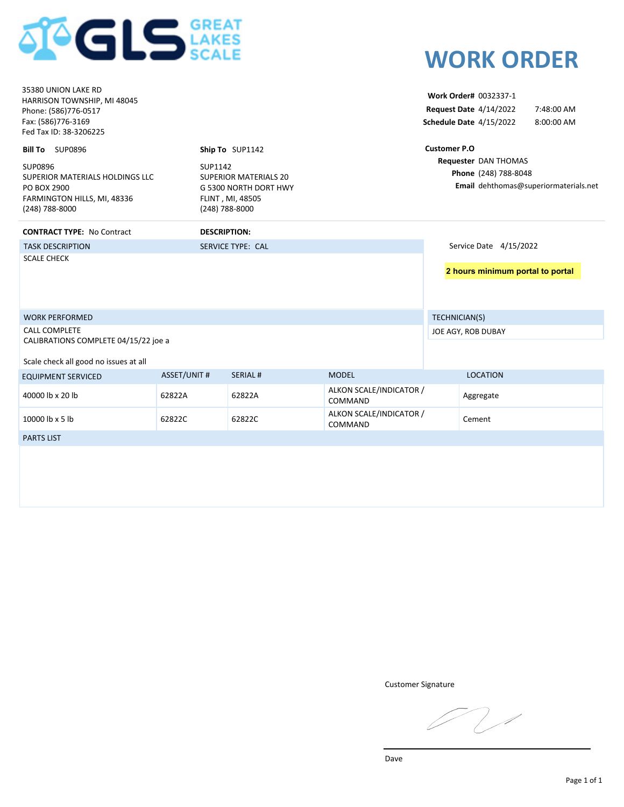

|                                                                                                                            | <b>SCALE</b>        |                                                                           |                                    |                     | <b>WORK ORDER</b>                                                                 |                                       |
|----------------------------------------------------------------------------------------------------------------------------|---------------------|---------------------------------------------------------------------------|------------------------------------|---------------------|-----------------------------------------------------------------------------------|---------------------------------------|
| 35380 UNION LAKE RD<br>HARRISON TOWNSHIP, MI 48045<br>Phone: (586)776-0517<br>Fax: (586)776-3169<br>Fed Tax ID: 38-3206225 |                     |                                                                           |                                    |                     | Work Order# 0032337-1<br><b>Request Date 4/14/2022</b><br>Schedule Date 4/15/2022 | 7:48:00 AM<br>8:00:00 AM              |
| <b>Bill To</b> SUP0896<br>SUP0896                                                                                          | SUP1142             | Ship To SUP1142                                                           |                                    | <b>Customer P.O</b> | Requester DAN THOMAS                                                              |                                       |
| SUPERIOR MATERIALS HOLDINGS LLC<br>PO BOX 2900<br>FARMINGTON HILLS, MI, 48336<br>(248) 788-8000                            | (248) 788-8000      | <b>SUPERIOR MATERIALS 20</b><br>G 5300 NORTH DORT HWY<br>FLINT, MI, 48505 |                                    |                     | Phone (248) 788-8048                                                              | Email dehthomas@superiormaterials.net |
| <b>CONTRACT TYPE: No Contract</b>                                                                                          | <b>DESCRIPTION:</b> |                                                                           |                                    |                     |                                                                                   |                                       |
| <b>TASK DESCRIPTION</b>                                                                                                    |                     | <b>SERVICE TYPE: CAL</b>                                                  |                                    |                     | Service Date 4/15/2022                                                            |                                       |
| <b>SCALE CHECK</b>                                                                                                         |                     |                                                                           |                                    |                     | 2 hours minimum portal to portal                                                  |                                       |
| <b>WORK PERFORMED</b>                                                                                                      |                     |                                                                           |                                    | TECHNICIAN(S)       |                                                                                   |                                       |
| <b>CALL COMPLETE</b><br>CALIBRATIONS COMPLETE 04/15/22 joe a                                                               |                     |                                                                           |                                    |                     | JOE AGY, ROB DUBAY                                                                |                                       |
| Scale check all good no issues at all                                                                                      |                     |                                                                           |                                    |                     |                                                                                   |                                       |
| <b>EQUIPMENT SERVICED</b>                                                                                                  | <b>ASSET/UNIT #</b> | <b>SERIAL#</b>                                                            | <b>MODEL</b>                       |                     | <b>LOCATION</b>                                                                   |                                       |
| 40000 lb x 20 lb                                                                                                           | 62822A              | 62822A                                                                    | ALKON SCALE/INDICATOR /<br>COMMAND |                     | Aggregate                                                                         |                                       |
| 10000 lb x 5 lb                                                                                                            | 62822C              | 62822C                                                                    | ALKON SCALE/INDICATOR /<br>COMMAND |                     | Cement                                                                            |                                       |
| <b>PARTS LIST</b>                                                                                                          |                     |                                                                           |                                    |                     |                                                                                   |                                       |
|                                                                                                                            |                     |                                                                           |                                    |                     |                                                                                   |                                       |

Customer Signature

 $7/$